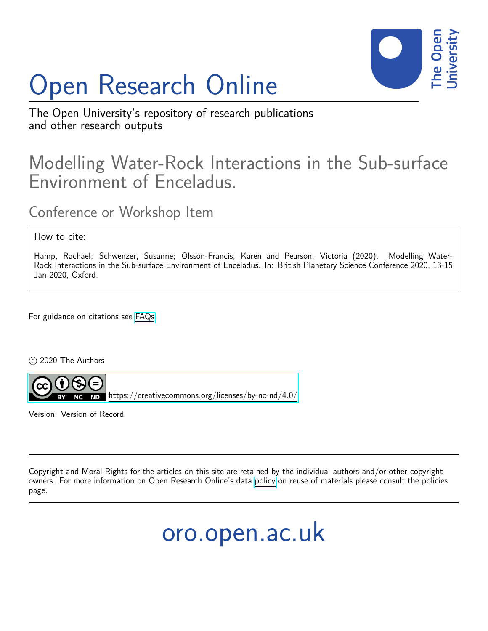# Open Research Online



The Open University's repository of research publications and other research outputs

## Modelling Water-Rock Interactions in the Sub-surface Environment of Enceladus.

Conference or Workshop Item

How to cite:

Hamp, Rachael; Schwenzer, Susanne; Olsson-Francis, Karen and Pearson, Victoria (2020). Modelling Water-Rock Interactions in the Sub-surface Environment of Enceladus. In: British Planetary Science Conference 2020, 13-15 Jan 2020, Oxford.

For guidance on citations see [FAQs.](http://oro.open.ac.uk/help/helpfaq.html)

c 2020 The Authors



<https://creativecommons.org/licenses/by-nc-nd/4.0/>

Version: Version of Record

Copyright and Moral Rights for the articles on this site are retained by the individual authors and/or other copyright owners. For more information on Open Research Online's data [policy](http://oro.open.ac.uk/policies.html) on reuse of materials please consult the policies page.